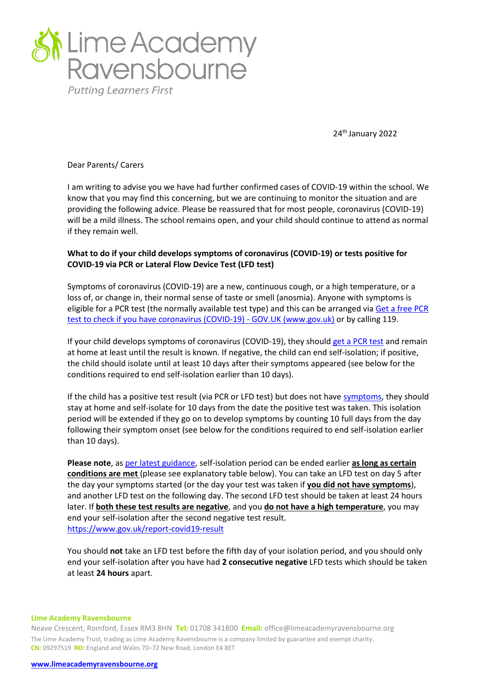

24th January 2022

Dear Parents/ Carers

I am writing to advise you we have had further confirmed cases of COVID-19 within the school. We know that you may find this concerning, but we are continuing to monitor the situation and are providing the following advice. Please be reassured that for most people, coronavirus (COVID-19) will be a mild illness. The school remains open, and your child should continue to attend as normal if they remain well.

# **What to do if your child develops symptoms of coronavirus (COVID-19) or tests positive for COVID-19 via PCR or Lateral Flow Device Test (LFD test)**

Symptoms of coronavirus (COVID-19) are a new, continuous cough, or a high temperature, or a loss of, or change in, their normal sense of taste or smell (anosmia). Anyone with symptoms is eligible for a PCR test (the normally available test type) and this can be arranged via Get a free PCR [test to check if you have coronavirus \(COVID-19\) -](https://www.gov.uk/get-coronavirus-test) GOV.UK (www.gov.uk) or by calling 119.

If your child develops symptoms of coronavirus (COVID-19), they should [get a PCR test](https://www.gov.uk/get-coronavirus-test) and remain at home at least until the result is known. If negative, the child can end self-isolation; if positive, the child should isolate until at least 10 days after their symptoms appeared (see below for the conditions required to end self-isolation earlier than 10 days).

If the child has a positive test result (via PCR or LFD test) but does not hav[e symptoms,](https://www.gov.uk/government/publications/covid-19-stay-at-home-guidance/stay-at-home-guidance-for-households-with-possible-coronavirus-covid-19-infection#symptoms) they should stay at home and self-isolate for 10 days from the date the positive test was taken. This isolation period will be extended if they go on to develop symptoms by counting 10 full days from the day following their symptom onset (see below for the conditions required to end self-isolation earlier than 10 days).

**Please note**, a[s per latest guidance,](https://www.gov.uk/government/publications/covid-19-stay-at-home-guidance/stay-at-home-guidance-for-households-with-possible-coronavirus-covid-19-infection#SymptomsPositiveTest) self-isolation period can be ended earlier **as long as certain conditions are met** (please see explanatory table below). You can take an LFD test on day 5 after the day your symptoms started (or the day your test was taken if **you did not have symptoms**), and another LFD test on the following day. The second LFD test should be taken at least 24 hours later. If **both these test results are negative**, and you **do not have a high temperature**, you may end your self-isolation after the second negative test result. <https://www.gov.uk/report-covid19-result>

You should **not** take an LFD test before the fifth day of your isolation period, and you should only end your self-isolation after you have had **2 consecutive negative** LFD tests which should be taken at least **24 hours** apart.

### **Lime Academy Ravensbourne**

Neave Crescent, Romford, Essex RM3 8HN **Tel:** 01708 341800 **Email:** office@limeacademyravensbourne.org The Lime Academy Trust, trading as Lime Academy Ravensbourne is a company limited by guarantee and exempt charity. **CN:** 09297519 **RO:** England and Wales 70–72 New Road, London E4 8ET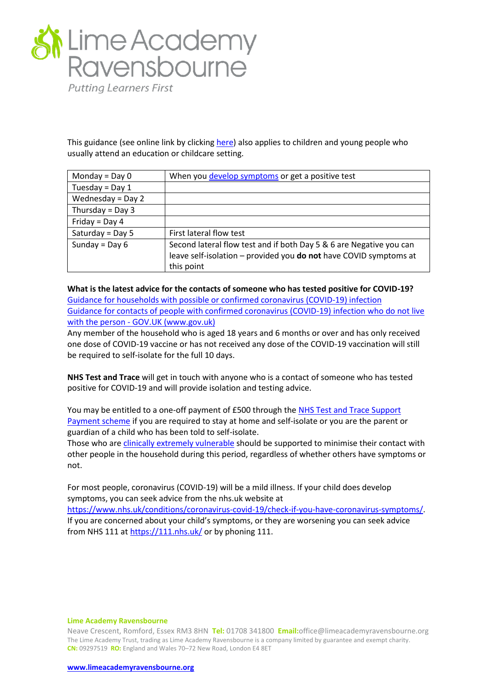

This guidance (see online link by clicking [here\)](https://www.gov.uk/government/publications/covid-19-stay-at-home-guidance/stay-at-home-guidance-for-households-with-possible-coronavirus-covid-19-infection#SymptomsPositiveTest) also applies to children and young people who usually attend an education or childcare setting.

| Monday = $Day 0$    | When you develop symptoms or get a positive test                    |
|---------------------|---------------------------------------------------------------------|
| Tuesday = $Day 1$   |                                                                     |
| Wednesday = $Day 2$ |                                                                     |
| Thursday = Day $3$  |                                                                     |
| Friday = Day 4      |                                                                     |
| Saturday = Day 5    | First lateral flow test                                             |
| Sunday = Day $6$    | Second lateral flow test and if both Day 5 & 6 are Negative you can |
|                     | leave self-isolation - provided you do not have COVID symptoms at   |
|                     | this point                                                          |

**What is the latest advice for the contacts of someone who has tested positive for COVID-19?** [Guidance for households with possible or confirmed coronavirus \(COVID-19\) infection](https://www.gov.uk/government/publications/covid-19-stay-at-home-guidance/stay-at-home-guidance-for-households-with-possible-coronavirus-covid-19-infection#main-messages) Guidance for contacts of people with confirmed coronavirus (COVID-19) infection who do not live with the person - GOV.UK (www.gov.uk)

Any member of the household who is aged 18 years and 6 months or over and has only received one dose of COVID-19 vaccine or has not received any dose of the COVID-19 vaccination will still be required to self-isolate for the full 10 days.

**NHS Test and Trace** will get in touch with anyone who is a contact of someone who has tested positive for COVID-19 and will provide isolation and testing advice.

You may be entitled to a one-off payment of £500 through the [NHS Test and Trace Support](https://www.gov.uk/government/publications/test-and-trace-support-payment-scheme-claiming-financial-support/claiming-financial-support-under-the-test-and-trace-support-payment-scheme)  [Payment scheme](https://www.gov.uk/government/publications/test-and-trace-support-payment-scheme-claiming-financial-support/claiming-financial-support-under-the-test-and-trace-support-payment-scheme) if you are required to stay at home and self-isolate or you are the parent or guardian of a child who has been told to self-isolate.

Those who are [clinically extremely vulnerable](https://www.gov.uk/government/publications/guidance-on-shielding-and-protecting-extremely-vulnerable-persons-from-covid-19/guidance-on-shielding-and-protecting-extremely-vulnerable-persons-from-covid-19) should be supported to minimise their contact with other people in the household during this period, regardless of whether others have symptoms or not.

For most people, coronavirus (COVID-19) will be a mild illness. If your child does develop symptoms, you can seek advice from the nhs.uk website at [https://www.nhs.uk/conditions/coronavirus-covid-19/check-if-you-have-coronavirus-symptoms/.](https://www.nhs.uk/conditions/coronavirus-covid-19/check-if-you-have-coronavirus-symptoms/) If you are concerned about your child's symptoms, or they are worsening you can seek advice from NHS 111 a[t https://111.nhs.uk/](https://111.nhs.uk/) or by phoning 111.

## **Lime Academy Ravensbourne**

Neave Crescent, Romford, Essex RM3 8HN **Tel:** 01708 341800 **Email:**office@limeacademyravensbourne.org The Lime Academy Trust, trading as Lime Academy Ravensbourne is a company limited by guarantee and exempt charity. **CN:** 09297519 **RO:** England and Wales 70–72 New Road, London E4 8ET